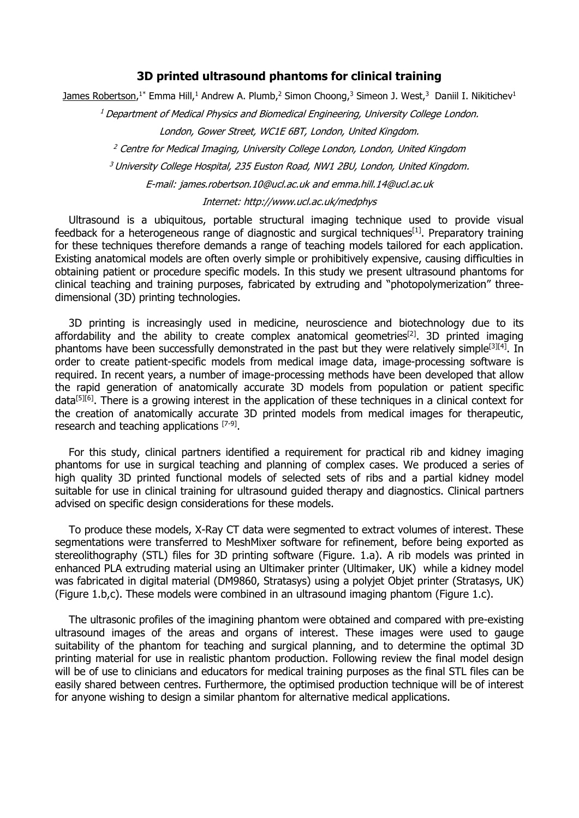### **3D printed ultrasound phantoms for clinical training**

 ${\tt James\, Robertson.^1^*}$  Emma Hill, $^1$  Andrew A. Plumb, $^2$  Simon Choong, $^3$  Simeon J. West, $^3$  Daniil I. Nikitichev $^1$ 

<sup>1</sup> Department of Medical Physics and Biomedical Engineering, University College London.

London, Gower Street, WC1E 6BT, London, United Kingdom.

<sup>2</sup> Centre for Medical Imaging, University College London, London, United Kingdom

<sup>3</sup> University College Hospital, 235 Euston Road, NW1 2BU, London, United Kinadom.

E-mail: james.robertson.10@ucl.ac.uk and emma.hill.14@ucl.ac.uk

#### Internet: http://www.ucl.ac.uk/medphys

Ultrasound is a ubiquitous, portable structural imaging technique used to provide visual feedback for a heterogeneous range of diagnostic and surgical techniques<sup>[1]</sup>. Preparatory training for these techniques therefore demands a range of teaching models tailored for each application. Existing anatomical models are often overly simple or prohibitively expensive, causing difficulties in obtaining patient or procedure specific models. In this study we present ultrasound phantoms for clinical teaching and training purposes, fabricated by extruding and "photopolymerization" threedimensional (3D) printing technologies.

3D printing is increasingly used in medicine, neuroscience and biotechnology due to its affordability and the ability to create complex anatomical geometries<sup>[2]</sup>. 3D printed imaging phantoms have been successfully demonstrated in the past but they were relatively simple<sup>[3][4]</sup>. In order to create patient-specific models from medical image data, image-processing software is required. In recent years, a number of image-processing methods have been developed that allow the rapid generation of anatomically accurate 3D models from population or patient specific data<sup>[5][6]</sup>. There is a growing interest in the application of these techniques in a clinical context for the creation of anatomically accurate 3D printed models from medical images for therapeutic, research and teaching applications [7-9].

For this study, clinical partners identified a requirement for practical rib and kidney imaging phantoms for use in surgical teaching and planning of complex cases. We produced a series of high quality 3D printed functional models of selected sets of ribs and a partial kidney model suitable for use in clinical training for ultrasound guided therapy and diagnostics. Clinical partners advised on specific design considerations for these models.

To produce these models, X-Ray CT data were segmented to extract volumes of interest. These segmentations were transferred to MeshMixer software for refinement, before being exported as stereolithography (STL) files for 3D printing software (Figure. 1.a). A rib models was printed in enhanced PLA extruding material using an Ultimaker printer (Ultimaker, UK) while a kidney model was fabricated in digital material (DM9860, Stratasys) using a polyjet Objet printer (Stratasys, UK) (Figure 1.b,c). These models were combined in an ultrasound imaging phantom (Figure 1.c).

The ultrasonic profiles of the imagining phantom were obtained and compared with pre-existing ultrasound images of the areas and organs of interest. These images were used to gauge suitability of the phantom for teaching and surgical planning, and to determine the optimal 3D printing material for use in realistic phantom production. Following review the final model design will be of use to clinicians and educators for medical training purposes as the final STL files can be easily shared between centres. Furthermore, the optimised production technique will be of interest for anyone wishing to design a similar phantom for alternative medical applications.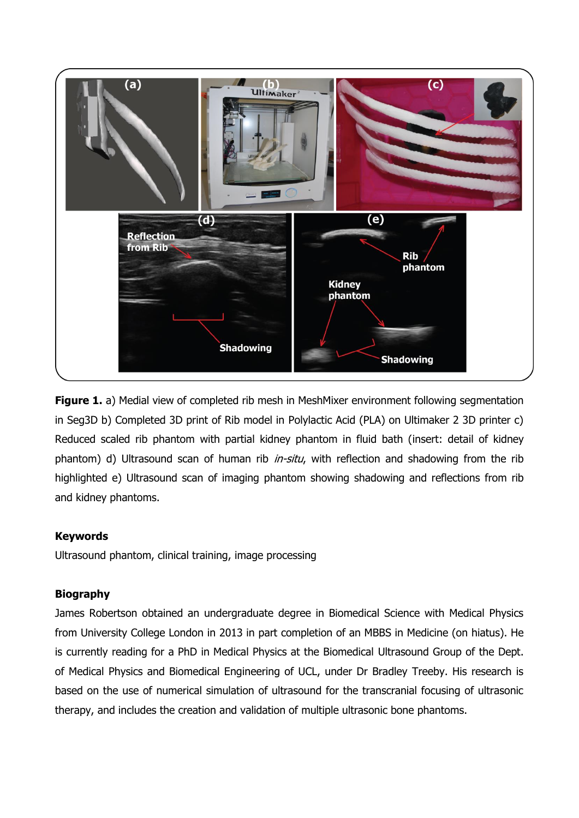

**Figure 1.** a) Medial view of completed rib mesh in MeshMixer environment following segmentation in Seg3D b) Completed 3D print of Rib model in Polylactic Acid (PLA) on Ultimaker 2 3D printer c) Reduced scaled rib phantom with partial kidney phantom in fluid bath (insert: detail of kidney phantom) d) Ultrasound scan of human rib *in-situ*, with reflection and shadowing from the rib highlighted e) Ultrasound scan of imaging phantom showing shadowing and reflections from rib and kidney phantoms.

# **Keywords**

Ultrasound phantom, clinical training, image processing

# **Biography**

James Robertson obtained an undergraduate degree in Biomedical Science with Medical Physics from University College London in 2013 in part completion of an MBBS in Medicine (on hiatus). He is currently reading for a PhD in Medical Physics at the Biomedical Ultrasound Group of the Dept. of Medical Physics and Biomedical Engineering of UCL, under Dr Bradley Treeby. His research is based on the use of numerical simulation of ultrasound for the transcranial focusing of ultrasonic therapy, and includes the creation and validation of multiple ultrasonic bone phantoms.